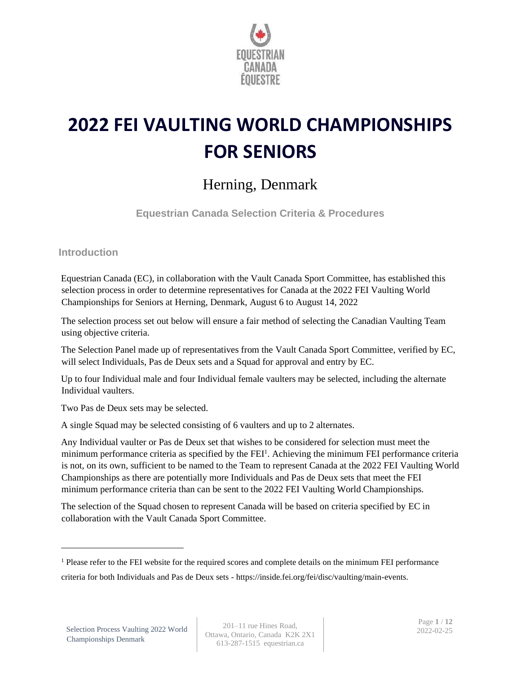

# **2022 FEI VAULTING WORLD CHAMPIONSHIPS FOR SENIORS**

# Herning, Denmark

**Equestrian Canada Selection Criteria & Procedures**

**Introduction**

Equestrian Canada (EC), in collaboration with the Vault Canada Sport Committee, has established this selection process in order to determine representatives for Canada at the 2022 FEI Vaulting World Championships for Seniors at Herning, Denmark, August 6 to August 14, 2022

The selection process set out below will ensure a fair method of selecting the Canadian Vaulting Team using objective criteria.

The Selection Panel made up of representatives from the Vault Canada Sport Committee, verified by EC, will select Individuals, Pas de Deux sets and a Squad for approval and entry by EC.

Up to four Individual male and four Individual female vaulters may be selected, including the alternate Individual vaulters.

Two Pas de Deux sets may be selected.

A single Squad may be selected consisting of 6 vaulters and up to 2 alternates.

Any Individual vaulter or Pas de Deux set that wishes to be considered for selection must meet the minimum performance criteria as specified by the FEI<sup>1</sup>. Achieving the minimum FEI performance criteria is not, on its own, sufficient to be named to the Team to represent Canada at the 2022 FEI Vaulting World Championships as there are potentially more Individuals and Pas de Deux sets that meet the FEI minimum performance criteria than can be sent to the 2022 FEI Vaulting World Championships.

The selection of the Squad chosen to represent Canada will be based on criteria specified by EC in collaboration with the Vault Canada Sport Committee.

<sup>1</sup> Please refer to the FEI website for the required scores and complete details on the minimum FEI performance criteria for both Individuals and Pas de Deux sets - https://inside.fei.org/fei/disc/vaulting/main-events.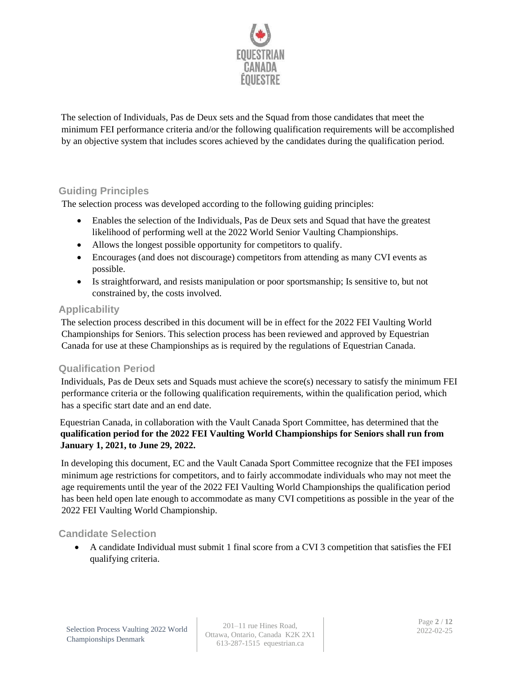

The selection of Individuals, Pas de Deux sets and the Squad from those candidates that meet the minimum FEI performance criteria and/or the following qualification requirements will be accomplished by an objective system that includes scores achieved by the candidates during the qualification period.

# **Guiding Principles**

The selection process was developed according to the following guiding principles:

- Enables the selection of the Individuals, Pas de Deux sets and Squad that have the greatest likelihood of performing well at the 2022 World Senior Vaulting Championships.
- Allows the longest possible opportunity for competitors to qualify.
- Encourages (and does not discourage) competitors from attending as many CVI events as possible.
- Is straightforward, and resists manipulation or poor sportsmanship; Is sensitive to, but not constrained by, the costs involved.

### **Applicability**

The selection process described in this document will be in effect for the 2022 FEI Vaulting World Championships for Seniors. This selection process has been reviewed and approved by Equestrian Canada for use at these Championships as is required by the regulations of Equestrian Canada.

# **Qualification Period**

Individuals, Pas de Deux sets and Squads must achieve the score(s) necessary to satisfy the minimum FEI performance criteria or the following qualification requirements, within the qualification period, which has a specific start date and an end date.

Equestrian Canada, in collaboration with the Vault Canada Sport Committee, has determined that the **qualification period for the 2022 FEI Vaulting World Championships for Seniors shall run from January 1, 2021, to June 29, 2022.**

In developing this document, EC and the Vault Canada Sport Committee recognize that the FEI imposes minimum age restrictions for competitors, and to fairly accommodate individuals who may not meet the age requirements until the year of the 2022 FEI Vaulting World Championships the qualification period has been held open late enough to accommodate as many CVI competitions as possible in the year of the 2022 FEI Vaulting World Championship.

# **Candidate Selection**

• A candidate Individual must submit 1 final score from a CVI 3 competition that satisfies the FEI qualifying criteria.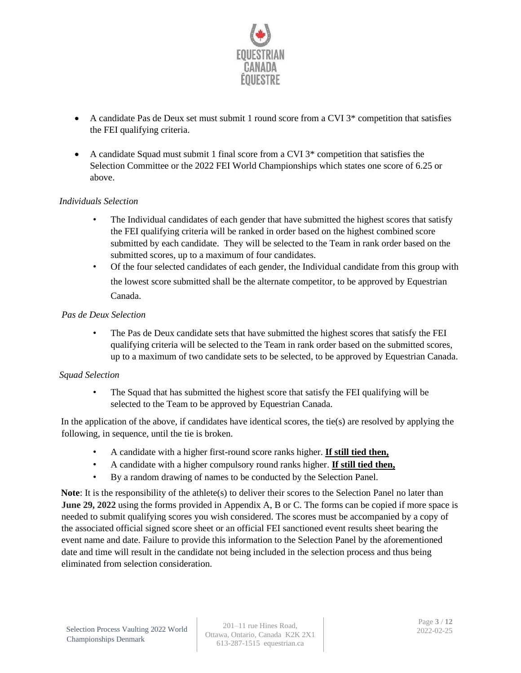

- A candidate Pas de Deux set must submit 1 round score from a CVI 3\* competition that satisfies the FEI qualifying criteria.
- A candidate Squad must submit 1 final score from a CVI 3\* competition that satisfies the Selection Committee or the 2022 FEI World Championships which states one score of 6.25 or above.

### *Individuals Selection*

- The Individual candidates of each gender that have submitted the highest scores that satisfy the FEI qualifying criteria will be ranked in order based on the highest combined score submitted by each candidate. They will be selected to the Team in rank order based on the submitted scores, up to a maximum of four candidates.
- Of the four selected candidates of each gender, the Individual candidate from this group with the lowest score submitted shall be the alternate competitor, to be approved by Equestrian Canada.

#### *Pas de Deux Selection*

• The Pas de Deux candidate sets that have submitted the highest scores that satisfy the FEI qualifying criteria will be selected to the Team in rank order based on the submitted scores, up to a maximum of two candidate sets to be selected, to be approved by Equestrian Canada.

#### *Squad Selection*

The Squad that has submitted the highest score that satisfy the FEI qualifying will be selected to the Team to be approved by Equestrian Canada.

In the application of the above, if candidates have identical scores, the tie(s) are resolved by applying the following, in sequence, until the tie is broken.

- A candidate with a higher first-round score ranks higher. **If still tied then,**
- A candidate with a higher compulsory round ranks higher. **If still tied then,**
- By a random drawing of names to be conducted by the Selection Panel.

**Note**: It is the responsibility of the athlete(s) to deliver their scores to the Selection Panel no later than **June 29, 2022** using the forms provided in Appendix A, B or C. The forms can be copied if more space is needed to submit qualifying scores you wish considered. The scores must be accompanied by a copy of the associated official signed score sheet or an official FEI sanctioned event results sheet bearing the event name and date. Failure to provide this information to the Selection Panel by the aforementioned date and time will result in the candidate not being included in the selection process and thus being eliminated from selection consideration.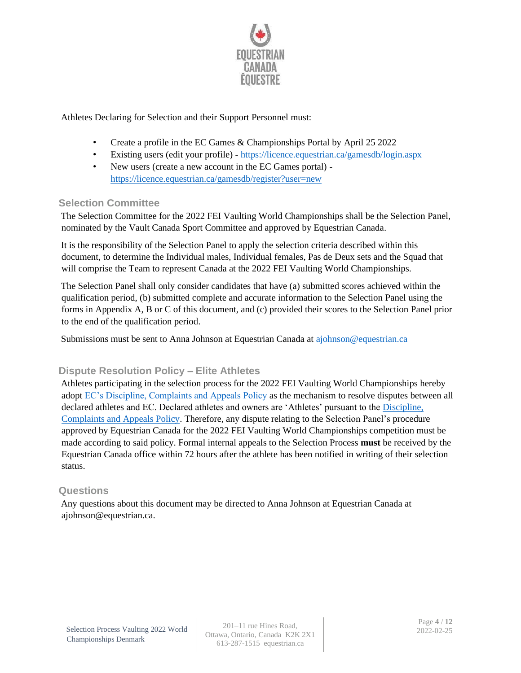

Athletes Declaring for Selection and their Support Personnel must:

- Create a profile in the EC Games & Championships Portal by April 25 2022
- Existing users (edit your profile) https://licence.equestrian.ca/gamesdb/login.aspx
- New users (create a new account in the EC Games portal) https://licence.equestrian.ca/gamesdb/register?user=new

### **Selection Committee**

The Selection Committee for the 2022 FEI Vaulting World Championships shall be the Selection Panel, nominated by the Vault Canada Sport Committee and approved by Equestrian Canada.

It is the responsibility of the Selection Panel to apply the selection criteria described within this document, to determine the Individual males, Individual females, Pas de Deux sets and the Squad that will comprise the Team to represent Canada at the 2022 FEI Vaulting World Championships.

The Selection Panel shall only consider candidates that have (a) submitted scores achieved within the qualification period, (b) submitted complete and accurate information to the Selection Panel using the forms in Appendix A, B or C of this document, and (c) provided their scores to the Selection Panel prior to the end of the qualification period.

Submissions must be sent to Anna Johnson at Equestrian Canada at [ajohnson@equestrian.ca](mailto:ajohnson@equestrian.ca)

# **Dispute Resolution Policy – Elite Athletes**

Athletes participating in the selection process for the 2022 FEI Vaulting World Championships hereby adopt [EC's Discipline, Complaints and Appeals Policy](https://www.equestrian.ca/cdn/storage/resources_v2/eYHT7wJtStzpmxq4g/original/eYHT7wJtStzpmxq4g.pdf) as the mechanism to resolve disputes between all declared athletes and EC. Declared athletes and owners are 'Athletes' pursuant to the [Discipline,](https://www.equestrian.ca/cdn/storage/resources_v2/eYHT7wJtStzpmxq4g/original/eYHT7wJtStzpmxq4g.pdf)  [Complaints and Appeals Policy.](https://www.equestrian.ca/cdn/storage/resources_v2/eYHT7wJtStzpmxq4g/original/eYHT7wJtStzpmxq4g.pdf) Therefore, any dispute relating to the Selection Panel's procedure approved by Equestrian Canada for the 2022 FEI Vaulting World Championships competition must be made according to said policy. Formal internal appeals to the Selection Process **must** be received by the Equestrian Canada office within 72 hours after the athlete has been notified in writing of their selection status.

### **Questions**

Any questions about this document may be directed to Anna Johnson at Equestrian Canada at ajohnson@equestrian.ca.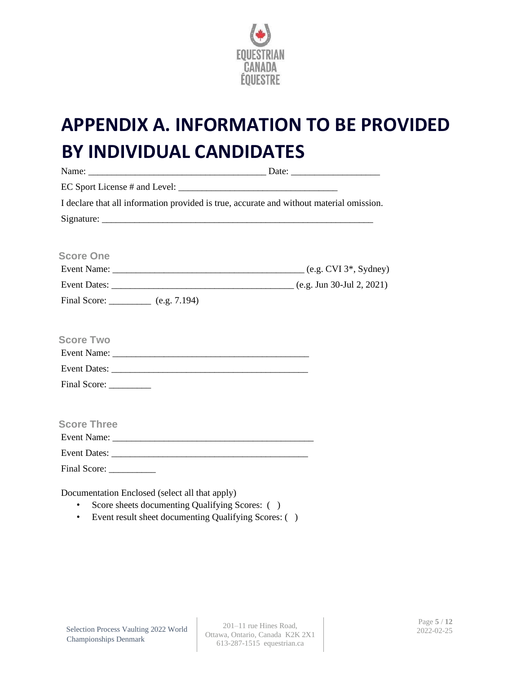

# **APPENDIX A. INFORMATION TO BE PROVIDED BY INDIVIDUAL CANDIDATES**

| I declare that all information provided is true, accurate and without material omission.                      |  |
|---------------------------------------------------------------------------------------------------------------|--|
|                                                                                                               |  |
|                                                                                                               |  |
| <b>Score One</b>                                                                                              |  |
|                                                                                                               |  |
|                                                                                                               |  |
| Final Score: __________ (e.g. 7.194)                                                                          |  |
|                                                                                                               |  |
| <b>Score Two</b>                                                                                              |  |
|                                                                                                               |  |
|                                                                                                               |  |
|                                                                                                               |  |
|                                                                                                               |  |
| <b>Score Three</b>                                                                                            |  |
|                                                                                                               |  |
|                                                                                                               |  |
|                                                                                                               |  |
| Documentation Enclosed (select all that apply)<br>Score sheets documenting Qualifying Scores: ()<br>$\bullet$ |  |

• Event result sheet documenting Qualifying Scores: ( )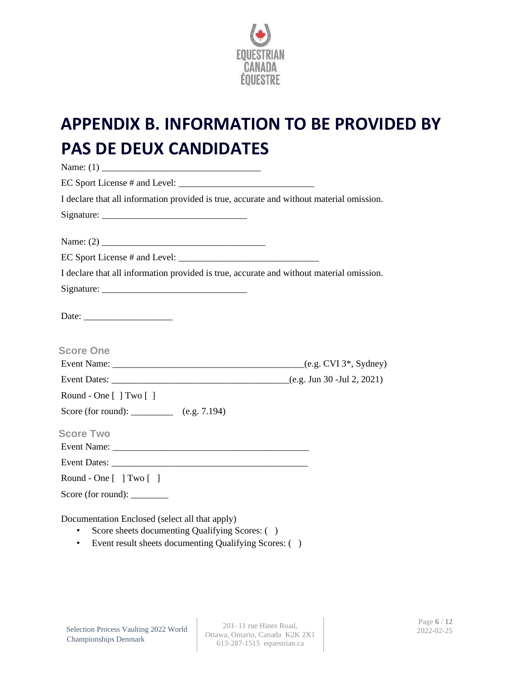

# **APPENDIX B. INFORMATION TO BE PROVIDED BY PAS DE DEUX CANDIDATES**

| I declare that all information provided is true, accurate and without material omission. |
|------------------------------------------------------------------------------------------|
|                                                                                          |
|                                                                                          |
|                                                                                          |
| I declare that all information provided is true, accurate and without material omission. |
|                                                                                          |
|                                                                                          |
| <b>Score One</b>                                                                         |
|                                                                                          |
|                                                                                          |
| Round - One [ ] Two [ ]                                                                  |
| Score (for round): ____________ (e.g. 7.194)                                             |
| <b>Score Two</b>                                                                         |
|                                                                                          |
|                                                                                          |
| Round - One $[ ] Two [ ]$                                                                |
| Score (for round): _______                                                               |
| Documentation Enclosed (select all that apply)                                           |

- Score sheets documenting Qualifying Scores: ( )
- Event result sheets documenting Qualifying Scores: ( )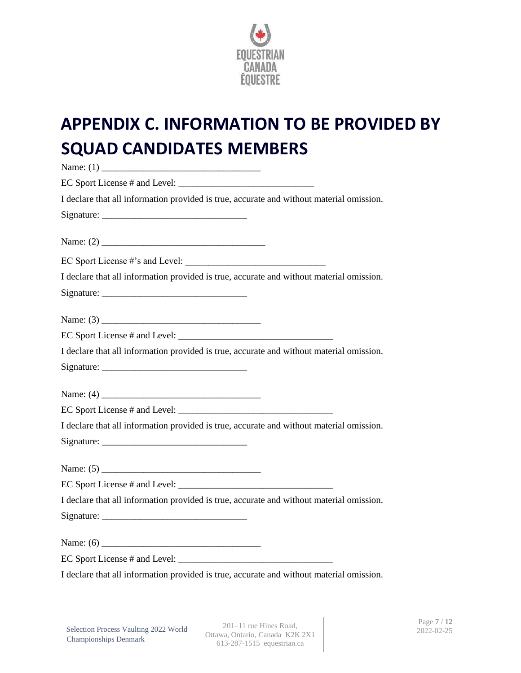

# **APPENDIX C. INFORMATION TO BE PROVIDED BY SQUAD CANDIDATES MEMBERS**

| I declare that all information provided is true, accurate and without material omission. |
|------------------------------------------------------------------------------------------|
|                                                                                          |
|                                                                                          |
|                                                                                          |
| I declare that all information provided is true, accurate and without material omission. |
|                                                                                          |
|                                                                                          |
|                                                                                          |
| I declare that all information provided is true, accurate and without material omission. |
|                                                                                          |
|                                                                                          |
|                                                                                          |
| I declare that all information provided is true, accurate and without material omission. |
|                                                                                          |
|                                                                                          |
|                                                                                          |
| I declare that all information provided is true, accurate and without material omission. |
|                                                                                          |
|                                                                                          |
|                                                                                          |
| I declare that all information provided is true, accurate and without material omission. |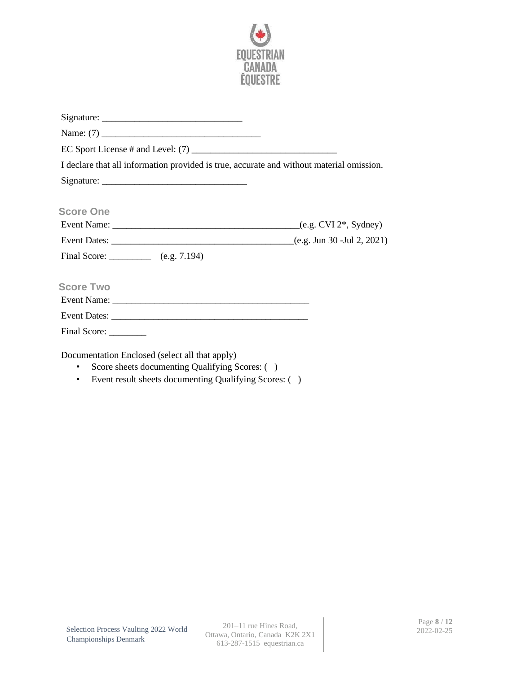

|                                                | I declare that all information provided is true, accurate and without material omission. |  |
|------------------------------------------------|------------------------------------------------------------------------------------------|--|
|                                                |                                                                                          |  |
|                                                |                                                                                          |  |
| <b>Score One</b>                               |                                                                                          |  |
|                                                |                                                                                          |  |
|                                                |                                                                                          |  |
| Final Score: (e.g. 7.194)                      |                                                                                          |  |
|                                                |                                                                                          |  |
| <b>Score Two</b>                               |                                                                                          |  |
|                                                |                                                                                          |  |
|                                                |                                                                                          |  |
| Final Score: _________                         |                                                                                          |  |
| Documentation Enclosed (select all that apply) |                                                                                          |  |

- Score sheets documenting Qualifying Scores: ( )
- Event result sheets documenting Qualifying Scores: ( )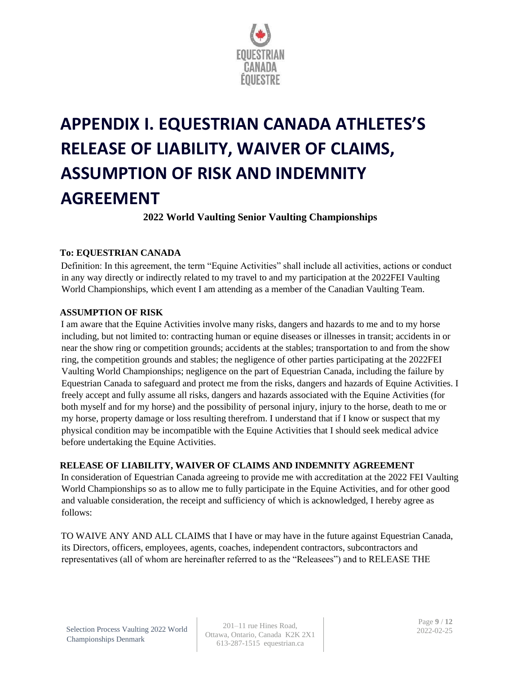

# **APPENDIX I. EQUESTRIAN CANADA ATHLETES'S RELEASE OF LIABILITY, WAIVER OF CLAIMS, ASSUMPTION OF RISK AND INDEMNITY AGREEMENT**

**2022 World Vaulting Senior Vaulting Championships** 

# **To: EQUESTRIAN CANADA**

Definition: In this agreement, the term "Equine Activities" shall include all activities, actions or conduct in any way directly or indirectly related to my travel to and my participation at the 2022FEI Vaulting World Championships, which event I am attending as a member of the Canadian Vaulting Team.

### **ASSUMPTION OF RISK**

I am aware that the Equine Activities involve many risks, dangers and hazards to me and to my horse including, but not limited to: contracting human or equine diseases or illnesses in transit; accidents in or near the show ring or competition grounds; accidents at the stables; transportation to and from the show ring, the competition grounds and stables; the negligence of other parties participating at the 2022FEI Vaulting World Championships; negligence on the part of Equestrian Canada, including the failure by Equestrian Canada to safeguard and protect me from the risks, dangers and hazards of Equine Activities. I freely accept and fully assume all risks, dangers and hazards associated with the Equine Activities (for both myself and for my horse) and the possibility of personal injury, injury to the horse, death to me or my horse, property damage or loss resulting therefrom. I understand that if I know or suspect that my physical condition may be incompatible with the Equine Activities that I should seek medical advice before undertaking the Equine Activities.

### **RELEASE OF LIABILITY, WAIVER OF CLAIMS AND INDEMNITY AGREEMENT**

In consideration of Equestrian Canada agreeing to provide me with accreditation at the 2022 FEI Vaulting World Championships so as to allow me to fully participate in the Equine Activities, and for other good and valuable consideration, the receipt and sufficiency of which is acknowledged, I hereby agree as follows:

TO WAIVE ANY AND ALL CLAIMS that I have or may have in the future against Equestrian Canada, its Directors, officers, employees, agents, coaches, independent contractors, subcontractors and representatives (all of whom are hereinafter referred to as the "Releasees") and to RELEASE THE

201–11 rue Hines Road, Ottawa, Ontario, Canada K2K 2X1 613-287-1515 equestrian.ca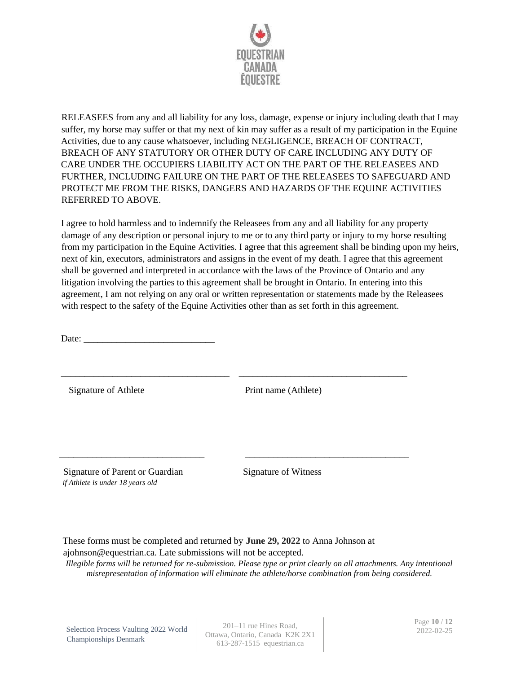

RELEASEES from any and all liability for any loss, damage, expense or injury including death that I may suffer, my horse may suffer or that my next of kin may suffer as a result of my participation in the Equine Activities, due to any cause whatsoever, including NEGLIGENCE, BREACH OF CONTRACT, BREACH OF ANY STATUTORY OR OTHER DUTY OF CARE INCLUDING ANY DUTY OF CARE UNDER THE OCCUPIERS LIABILITY ACT ON THE PART OF THE RELEASEES AND FURTHER, INCLUDING FAILURE ON THE PART OF THE RELEASEES TO SAFEGUARD AND PROTECT ME FROM THE RISKS, DANGERS AND HAZARDS OF THE EQUINE ACTIVITIES REFERRED TO ABOVE.

I agree to hold harmless and to indemnify the Releasees from any and all liability for any property damage of any description or personal injury to me or to any third party or injury to my horse resulting from my participation in the Equine Activities. I agree that this agreement shall be binding upon my heirs, next of kin, executors, administrators and assigns in the event of my death. I agree that this agreement shall be governed and interpreted in accordance with the laws of the Province of Ontario and any litigation involving the parties to this agreement shall be brought in Ontario. In entering into this agreement, I am not relying on any oral or written representation or statements made by the Releasees with respect to the safety of the Equine Activities other than as set forth in this agreement.

\_\_\_\_\_\_\_\_\_\_\_\_\_\_\_\_\_\_\_\_\_\_\_\_\_\_\_\_\_\_\_\_\_\_\_\_ \_\_\_\_\_\_\_\_\_\_\_\_\_\_\_\_\_\_\_\_\_\_\_\_\_\_\_\_\_\_\_\_\_\_\_\_

\_\_\_\_\_\_\_\_\_\_\_\_\_\_\_\_\_\_\_\_\_\_\_\_\_\_\_\_\_\_\_ \_\_\_\_\_\_\_\_\_\_\_\_\_\_\_\_\_\_\_\_\_\_\_\_\_\_\_\_\_\_\_\_\_\_\_

Date:

Signature of Athlete Print name (Athlete)

Signature of Parent or Guardian Signature of Witness *if Athlete is under 18 years old*

These forms must be completed and returned by **June 29, 2022** to Anna Johnson at ajohnson@equestrian.ca. Late submissions will not be accepted.

*Illegible forms will be returned for re-submission. Please type or print clearly on all attachments. Any intentional misrepresentation of information will eliminate the athlete/horse combination from being considered.* 

Selection Process Vaulting 2022 World Championships Denmark

201–11 rue Hines Road, Ottawa, Ontario, Canada K2K 2X1 613-287-1515 equestrian.ca

Page **10** / **12** 2022-02-25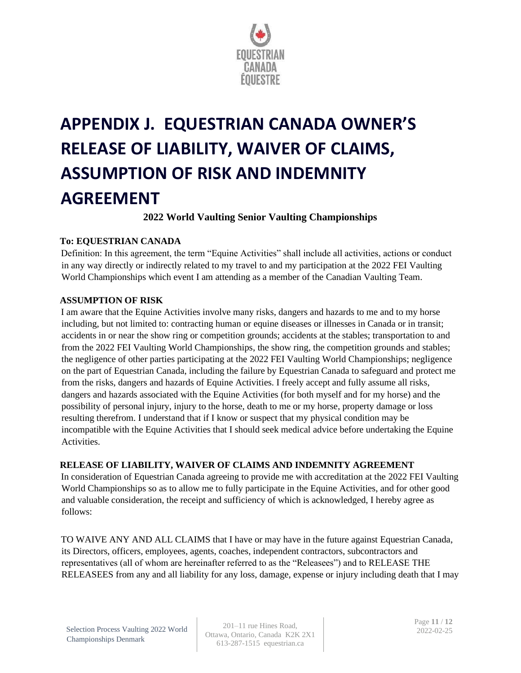

# **APPENDIX J. EQUESTRIAN CANADA OWNER'S RELEASE OF LIABILITY, WAIVER OF CLAIMS, ASSUMPTION OF RISK AND INDEMNITY AGREEMENT**

**2022 World Vaulting Senior Vaulting Championships** 

### **To: EQUESTRIAN CANADA**

Definition: In this agreement, the term "Equine Activities" shall include all activities, actions or conduct in any way directly or indirectly related to my travel to and my participation at the 2022 FEI Vaulting World Championships which event I am attending as a member of the Canadian Vaulting Team.

#### **ASSUMPTION OF RISK**

I am aware that the Equine Activities involve many risks, dangers and hazards to me and to my horse including, but not limited to: contracting human or equine diseases or illnesses in Canada or in transit; accidents in or near the show ring or competition grounds; accidents at the stables; transportation to and from the 2022 FEI Vaulting World Championships, the show ring, the competition grounds and stables; the negligence of other parties participating at the 2022 FEI Vaulting World Championships; negligence on the part of Equestrian Canada, including the failure by Equestrian Canada to safeguard and protect me from the risks, dangers and hazards of Equine Activities. I freely accept and fully assume all risks, dangers and hazards associated with the Equine Activities (for both myself and for my horse) and the possibility of personal injury, injury to the horse, death to me or my horse, property damage or loss resulting therefrom. I understand that if I know or suspect that my physical condition may be incompatible with the Equine Activities that I should seek medical advice before undertaking the Equine Activities.

# **RELEASE OF LIABILITY, WAIVER OF CLAIMS AND INDEMNITY AGREEMENT**

In consideration of Equestrian Canada agreeing to provide me with accreditation at the 2022 FEI Vaulting World Championships so as to allow me to fully participate in the Equine Activities, and for other good and valuable consideration, the receipt and sufficiency of which is acknowledged, I hereby agree as follows:

TO WAIVE ANY AND ALL CLAIMS that I have or may have in the future against Equestrian Canada, its Directors, officers, employees, agents, coaches, independent contractors, subcontractors and representatives (all of whom are hereinafter referred to as the "Releasees") and to RELEASE THE RELEASEES from any and all liability for any loss, damage, expense or injury including death that I may